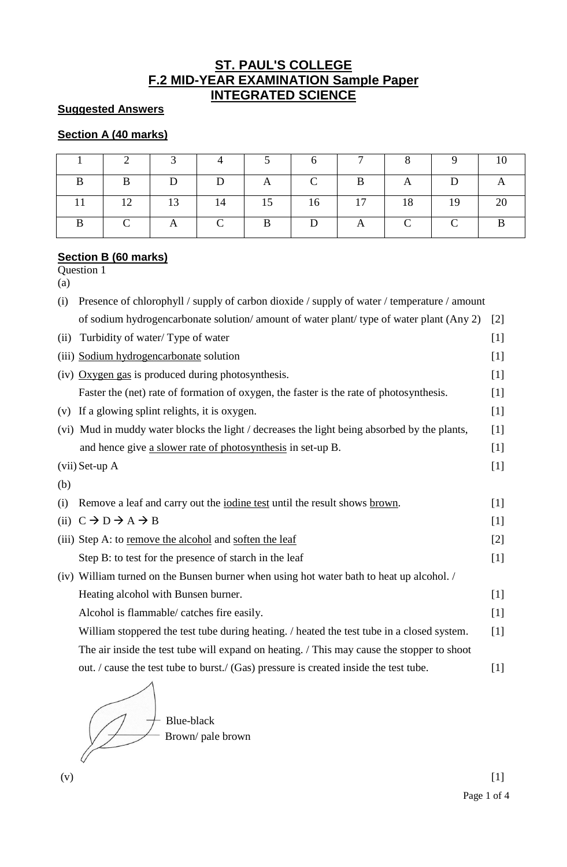## **ST. PAUL'S COLLEGE F.2 MID-YEAR EXAMINATION Sample Paper INTEGRATED SCIENCE**

## **Suggested Answers**

## **Section A (40 marks)**

|               |                                                                       | 3 4          | $\begin{array}{ccc} \end{array}$ 5 | $6 \quad \blacksquare$ | $\overline{7}$ | $\sim$ 8       | -9 |  |
|---------------|-----------------------------------------------------------------------|--------------|------------------------------------|------------------------|----------------|----------------|----|--|
| B             | $\mathbf{D}$                                                          | $\Box$ D     | $\mathbf{A}$                       | $\mathsf{C}$           |                | $\overline{A}$ | D  |  |
| 12            | $\begin{array}{ c c c c c } \hline \text{13} & \text{14} \end{array}$ |              | 15                                 |                        | $16$   $17$    | 18             | 19 |  |
| $\mathcal{C}$ | $\mathbf{A}$                                                          | $\mathbf{C}$ | B                                  | D                      | A              |                |    |  |

## **Section B (60 marks)**

Question 1 (a)

| (i)  | Presence of chlorophyll / supply of carbon dioxide / supply of water / temperature / amount  |       |  |  |
|------|----------------------------------------------------------------------------------------------|-------|--|--|
|      | of sodium hydrogencarbonate solution/ amount of water plant/ type of water plant (Any 2)     | $[2]$ |  |  |
| (ii) | Turbidity of water/Type of water                                                             | $[1]$ |  |  |
|      | (iii) Sodium hydrogencarbonate solution                                                      | $[1]$ |  |  |
|      | $(iv)$ Oxygen gas is produced during photosynthesis.                                         | $[1]$ |  |  |
|      | Faster the (net) rate of formation of oxygen, the faster is the rate of photosynthesis.      | $[1]$ |  |  |
| (V)  | If a glowing splint relights, it is oxygen.                                                  | $[1]$ |  |  |
|      | (vi) Mud in muddy water blocks the light / decreases the light being absorbed by the plants, | $[1]$ |  |  |
|      | and hence give a slower rate of photosynthesis in set-up B.                                  | $[1]$ |  |  |
|      | $(vii)$ Set-up A                                                                             | $[1]$ |  |  |
| (b)  |                                                                                              |       |  |  |
| (i)  | Remove a leaf and carry out the <i>iodine</i> test until the result shows brown.             | $[1]$ |  |  |
|      | (ii) $C \rightarrow D \rightarrow A \rightarrow B$                                           | $[1]$ |  |  |
|      | (iii) Step A: to remove the alcohol and soften the leaf                                      | $[2]$ |  |  |
|      | Step B: to test for the presence of starch in the leaf                                       | $[1]$ |  |  |
|      | (iv) William turned on the Bunsen burner when using hot water bath to heat up alcohol. /     |       |  |  |
|      | Heating alcohol with Bunsen burner.                                                          | $[1]$ |  |  |
|      | Alcohol is flammable/ catches fire easily.                                                   | $[1]$ |  |  |
|      | William stoppered the test tube during heating. / heated the test tube in a closed system.   | $[1]$ |  |  |
|      | The air inside the test tube will expand on heating. / This may cause the stopper to shoot   |       |  |  |
|      | out. / cause the test tube to burst./ (Gas) pressure is created inside the test tube.        | $[1]$ |  |  |
|      |                                                                                              |       |  |  |

Brown/ pale brown Blue-black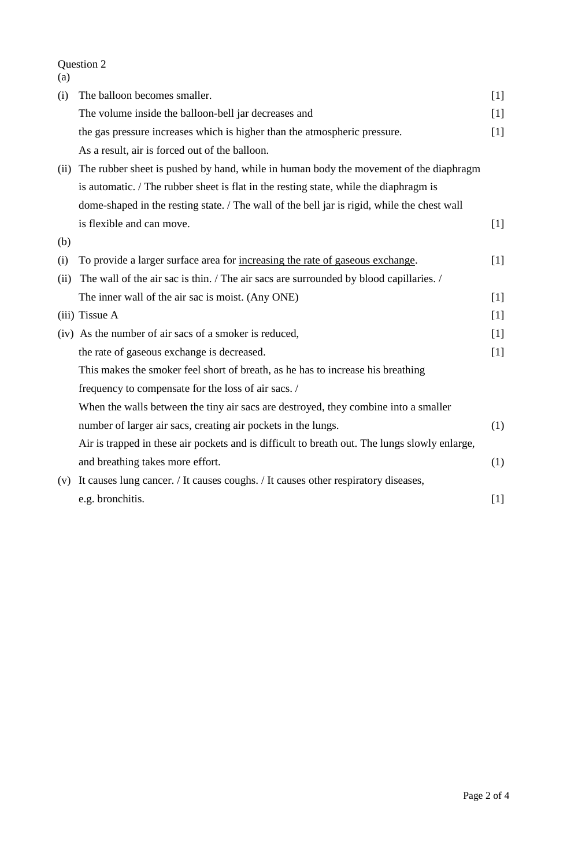Question 2  $\sum_{(a)}$ 

| (i)  | The balloon becomes smaller.                                                                  | $[1]$ |
|------|-----------------------------------------------------------------------------------------------|-------|
|      | The volume inside the balloon-bell jar decreases and                                          | $[1]$ |
|      | the gas pressure increases which is higher than the atmospheric pressure.                     | $[1]$ |
|      | As a result, air is forced out of the balloon.                                                |       |
| (ii) | The rubber sheet is pushed by hand, while in human body the movement of the diaphragm         |       |
|      | is automatic. / The rubber sheet is flat in the resting state, while the diaphragm is         |       |
|      | dome-shaped in the resting state. / The wall of the bell jar is rigid, while the chest wall   |       |
|      | is flexible and can move.                                                                     | $[1]$ |
| (b)  |                                                                                               |       |
| (i)  | To provide a larger surface area for increasing the rate of gaseous exchange.                 | [1]   |
| (ii) | The wall of the air sac is thin. / The air sacs are surrounded by blood capillaries. /        |       |
|      | The inner wall of the air sac is moist. (Any ONE)                                             | $[1]$ |
|      | $(iii)$ Tissue A                                                                              | [1]   |
|      | (iv) As the number of air sacs of a smoker is reduced,                                        | $[1]$ |
|      | the rate of gaseous exchange is decreased.                                                    | $[1]$ |
|      | This makes the smoker feel short of breath, as he has to increase his breathing               |       |
|      | frequency to compensate for the loss of air sacs. /                                           |       |
|      | When the walls between the tiny air sacs are destroyed, they combine into a smaller           |       |
|      | number of larger air sacs, creating air pockets in the lungs.                                 | (1)   |
|      | Air is trapped in these air pockets and is difficult to breath out. The lungs slowly enlarge, |       |
|      | and breathing takes more effort.                                                              | (1)   |
| (v)  | It causes lung cancer. / It causes coughs. / It causes other respiratory diseases,            |       |
|      | e.g. bronchitis.                                                                              | $[1]$ |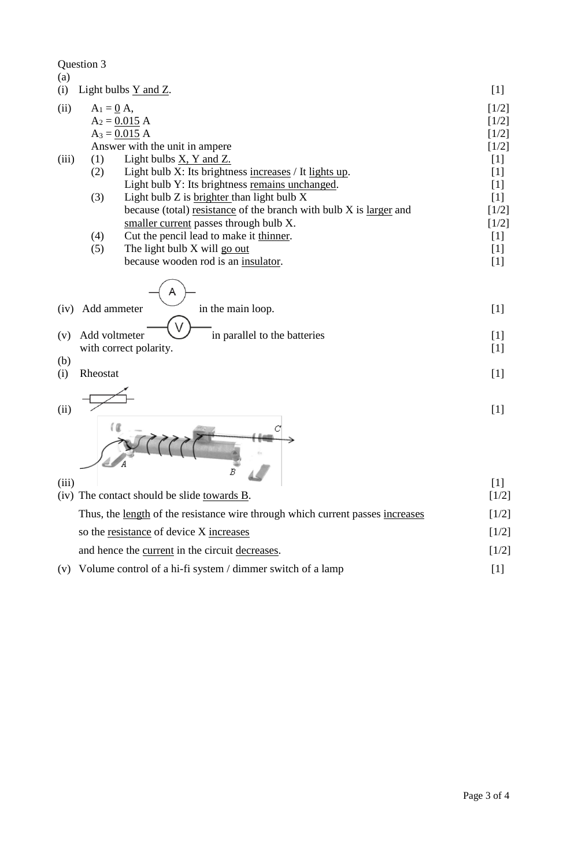| Question 3                                                                     |                    |  |
|--------------------------------------------------------------------------------|--------------------|--|
| (a)                                                                            |                    |  |
| (i)<br>Light bulbs $Y$ and $Z$ .                                               | $[1]$<br>$[1/2]$   |  |
| (ii)<br>$A_1 = \underline{0} A$ ,                                              |                    |  |
| $A_2 = 0.015 A$                                                                | $[1/2]$            |  |
| $A_3 = 0.015 A$<br>Answer with the unit in ampere                              | $[1/2]$<br>$[1/2]$ |  |
| Light bulbs $\underline{X}$ , Y and Z.<br>(iii)<br>(1)                         | $[1]$              |  |
| (2)<br>Light bulb X: Its brightness increases / It lights up.                  | $[1]$              |  |
| Light bulb Y: Its brightness remains unchanged.                                | $[1]$              |  |
| (3)<br>Light bulb Z is brighter than light bulb X                              | $[1]$              |  |
| because (total) resistance of the branch with bulb X is larger and             | $[1/2]$            |  |
| smaller current passes through bulb X.                                         | $[1/2]$            |  |
| Cut the pencil lead to make it thinner.<br>(4)                                 | $[1]$              |  |
| (5)<br>The light bulb X will go out                                            | $[1]$              |  |
| because wooden rod is an insulator.                                            | $[1]$              |  |
|                                                                                |                    |  |
| Add ammeter<br>in the main loop.<br>(iv)                                       |                    |  |
| Add voltmeter<br>in parallel to the batteries<br>(v)                           | $[1]$              |  |
| with correct polarity.                                                         |                    |  |
| (b)                                                                            | $[1]$              |  |
| Rheostat<br>(i)                                                                |                    |  |
|                                                                                | $[1]$              |  |
|                                                                                |                    |  |
| (ii)                                                                           | $[1]$              |  |
|                                                                                |                    |  |
|                                                                                |                    |  |
|                                                                                |                    |  |
| B                                                                              |                    |  |
| (iii)                                                                          | $[1]$              |  |
| (iv) The contact should be slide towards B.                                    | $[1/2]$            |  |
| Thus, the length of the resistance wire through which current passes increases | $[1/2]$            |  |
| so the resistance of device X increases                                        | $[1/2]$            |  |

and hence the <u>current</u> in the circuit <u>decreases</u>. [1/2]

(v) Volume control of a hi-fi system / dimmer switch of a lamp [1]